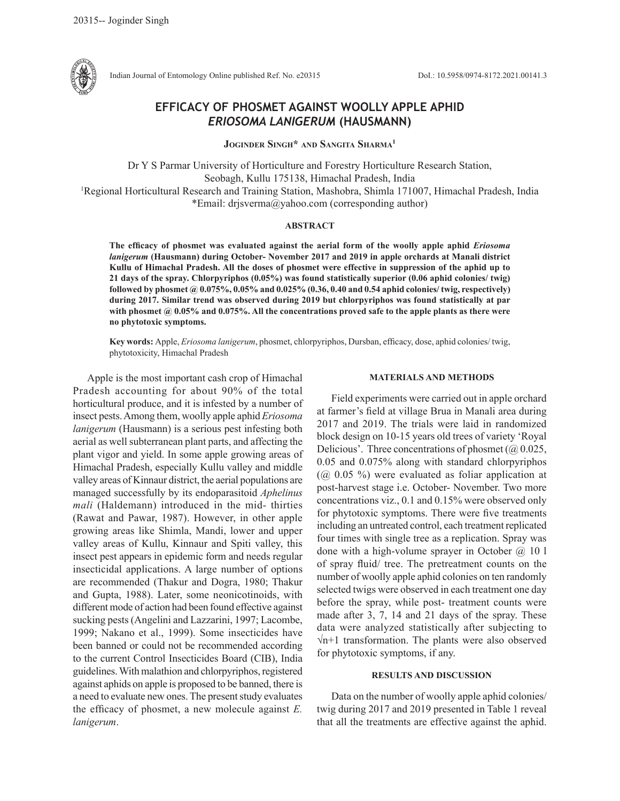

Indian Journal of Entomology Online published Ref. No. e20315 DoI.: 10.5958/0974-8172.2021.00141.3

# **EFFICACY OF PHOSMET AGAINST WOOLLY APPLE APHID**  *ERIOSOMA LANIGERUM* **(HAUSMANN)**

**Joginder Singh\* and Sangita Sharma1**

Dr Y S Parmar University of Horticulture and Forestry Horticulture Research Station, Seobagh, Kullu 175138, Himachal Pradesh, India<br><sup>1</sup>Regional Horticultural Research and Training Station, Mashobra, Shimla 171007, Himachal Pradesh, India \*Email: drjsverma@yahoo.com (corresponding author)

#### **ABSTRACT**

**The efficacy of phosmet was evaluated against the aerial form of the woolly apple aphid** *Eriosoma lanigerum* **(Hausmann) during October- November 2017 and 2019 in apple orchards at Manali district Kullu of Himachal Pradesh. All the doses of phosmet were effective in suppression of the aphid up to 21 days of the spray. Chlorpyriphos (0.05%) was found statistically superior (0.06 aphid colonies/ twig) followed by phosmet @ 0.075%, 0.05% and 0.025% (0.36, 0.40 and 0.54 aphid colonies/ twig, respectively) during 2017. Similar trend was observed during 2019 but chlorpyriphos was found statistically at par with phosmet @ 0.05% and 0.075%. All the concentrations proved safe to the apple plants as there were no phytotoxic symptoms.**

**Key words:** Apple, *Eriosoma lanigerum*, phosmet, chlorpyriphos, Dursban, efficacy, dose, aphid colonies/ twig, phytotoxicity, Himachal Pradesh

Apple is the most important cash crop of Himachal Pradesh accounting for about 90% of the total horticultural produce, and it is infested by a number of insect pests. Among them, woolly apple aphid *Eriosoma lanigerum* (Hausmann) is a serious pest infesting both aerial as well subterranean plant parts, and affecting the plant vigor and yield. In some apple growing areas of Himachal Pradesh, especially Kullu valley and middle valley areas of Kinnaur district, the aerial populations are managed successfully by its endoparasitoid *Aphelinus mali* (Haldemann) introduced in the mid- thirties (Rawat and Pawar, 1987). However, in other apple growing areas like Shimla, Mandi, lower and upper valley areas of Kullu, Kinnaur and Spiti valley, this insect pest appears in epidemic form and needs regular insecticidal applications. A large number of options are recommended (Thakur and Dogra, 1980; Thakur and Gupta, 1988). Later, some neonicotinoids, with different mode of action had been found effective against sucking pests (Angelini and Lazzarini, 1997; Lacombe, 1999; Nakano et al., 1999). Some insecticides have been banned or could not be recommended according to the current Control Insecticides Board (CIB), India guidelines. With malathion and chlorpyriphos, registered against aphids on apple is proposed to be banned, there is a need to evaluate new ones. The present study evaluates the efficacy of phosmet, a new molecule against *E. lanigerum*.

### **MATERIALS AND METHODS**

Field experiments were carried out in apple orchard at farmer's field at village Brua in Manali area during 2017 and 2019. The trials were laid in randomized block design on 10-15 years old trees of variety 'Royal Delicious'. Three concentrations of phosmet ( $\omega$  0.025, 0.05 and 0.075% along with standard chlorpyriphos  $(Q<sub>0</sub>, 0.05)$ % were evaluated as foliar application at post-harvest stage i.e. October- November. Two more concentrations viz., 0.1 and 0.15% were observed only for phytotoxic symptoms. There were five treatments including an untreated control, each treatment replicated four times with single tree as a replication. Spray was done with a high-volume sprayer in October  $(a)$  10 l of spray fluid/ tree. The pretreatment counts on the number of woolly apple aphid colonies on ten randomly selected twigs were observed in each treatment one day before the spray, while post- treatment counts were made after 3, 7, 14 and 21 days of the spray. These data were analyzed statistically after subjecting to √n+1 transformation. The plants were also observed for phytotoxic symptoms, if any.

## **RESULTS AND DISCUSSION**

Data on the number of woolly apple aphid colonies/ twig during 2017 and 2019 presented in Table 1 reveal that all the treatments are effective against the aphid.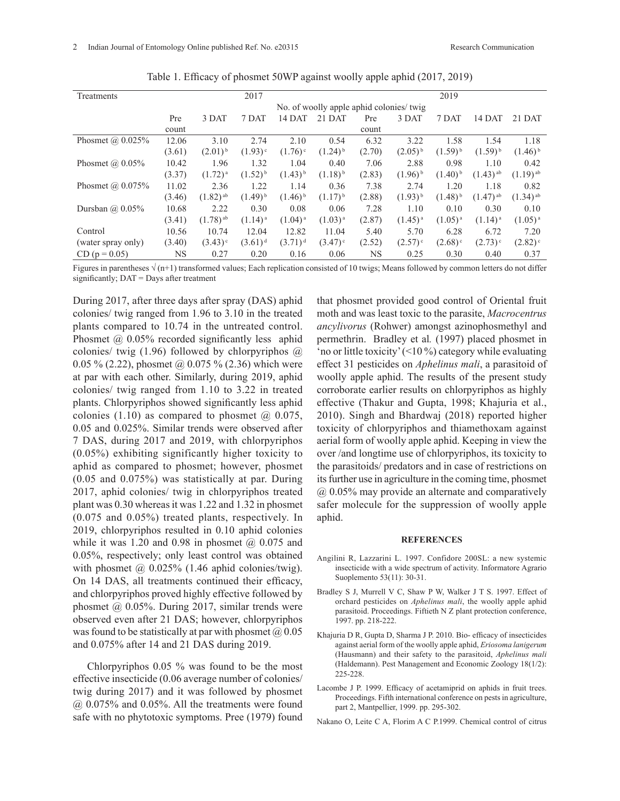| Treatments              |                                          |                        | 2017                  |                       |                       |        |                       | 2019                  |                        |                        |
|-------------------------|------------------------------------------|------------------------|-----------------------|-----------------------|-----------------------|--------|-----------------------|-----------------------|------------------------|------------------------|
|                         | No. of woolly apple aphid colonies/ twig |                        |                       |                       |                       |        |                       |                       |                        |                        |
|                         | Pre                                      | 3 DAT                  | 7 DAT                 | 14 DAT                | 21 DAT                | Pre    | 3 DAT                 | 7 DAT                 | 14 DAT                 | 21 DAT                 |
|                         | count                                    |                        |                       |                       |                       | count  |                       |                       |                        |                        |
| Phosmet $\omega$ 0.025% | 12.06                                    | 3.10                   | 2.74                  | 2.10                  | 0.54                  | 6.32   | 3.22                  | 1.58                  | 1.54                   | 1.18                   |
|                         | (3.61)                                   | $(2.01)^{b}$           | $(1.93)$ <sup>c</sup> | $(1.76)$ <sup>c</sup> | $(1.24)$ <sup>b</sup> | (2.70) | $(2.05)^{b}$          | $(1.59)^{b}$          | $(1.59)^{b}$           | $(1.46)^{b}$           |
| Phosmet $(a)$ 0.05%     | 10.42                                    | 1.96                   | 1.32                  | 1.04                  | 0.40                  | 7.06   | 2.88                  | 0.98                  | 1.10                   | 0.42                   |
|                         | (3.37)                                   | $(1.72)^{a}$           | $(1.52)^{b}$          | $(1.43)^{b}$          | $(1.18)^{b}$          | (2.83) | $(1.96)^{b}$          | $(1.40)$ <sup>b</sup> | $(1.43)$ <sup>ab</sup> | $(1.19)$ <sup>ab</sup> |
| Phosmet $\omega$ 0.075% | 11.02                                    | 2.36                   | 1.22                  | 1.14                  | 0.36                  | 7.38   | 2.74                  | 1.20                  | 1.18                   | 0.82                   |
|                         | (3.46)                                   | $(1.82)$ <sup>ab</sup> | $(1.49)^{b}$          | $(1.46)$ <sup>b</sup> | $(1.17)^{b}$          | (2.88) | $(1.93)^{b}$          | $(1.48)^{b}$          | $(1.47)$ <sup>ab</sup> | $(1.34)$ <sup>ab</sup> |
| Dursban $(a)$ 0.05%     | 10.68                                    | 2.22                   | 0.30                  | 0.08                  | 0.06                  | 7.28   | 1.10                  | 0.10                  | 0.30                   | 0.10                   |
|                         | (3.41)                                   | $(1.78)$ <sup>ab</sup> | $(1.14)$ <sup>a</sup> | $(1.04)^{a}$          | $(1.03)^{a}$          | (2.87) | $(1.45)^{a}$          | $(1.05)^{a}$          | $(1.14)$ <sup>a</sup>  | $(1.05)^{a}$           |
| Control                 | 10.56                                    | 10.74                  | 12.04                 | 12.82                 | 11.04                 | 5.40   | 5.70                  | 6.28                  | 6.72                   | 7.20                   |
| (water spray only)      | (3.40)                                   | $(3.43)$ <sup>c</sup>  | $(3.61)^d$            | $(3.71)^d$            | $(3.47)$ <sup>c</sup> | (2.52) | $(2.57)$ <sup>c</sup> | $(2.68)^c$            | $(2.73)$ <sup>c</sup>  | $(2.82)$ <sup>c</sup>  |
| $CD (p = 0.05)$         | NS                                       | 0.27                   | 0.20                  | 0.16                  | 0.06                  | NS     | 0.25                  | 0.30                  | 0.40                   | 0.37                   |

Table 1. Efficacy of phosmet 50WP against woolly apple aphid (2017, 2019)

Figures in parentheses  $\sqrt{(n+1)}$  transformed values; Each replication consisted of 10 twigs; Means followed by common letters do not differ significantly; DAT = Days after treatment

During 2017, after three days after spray (DAS) aphid colonies/ twig ranged from 1.96 to 3.10 in the treated plants compared to 10.74 in the untreated control. Phosmet @ 0.05% recorded significantly less aphid colonies/ twig  $(1.96)$  followed by chlorpyriphos  $\omega$ 0.05 % (2.22), phosmet @ 0.075 % (2.36) which were at par with each other. Similarly, during 2019, aphid colonies/ twig ranged from 1.10 to 3.22 in treated plants. Chlorpyriphos showed significantly less aphid colonies  $(1.10)$  as compared to phosmet  $\omega$  0.075, 0.05 and 0.025%. Similar trends were observed after 7 DAS, during 2017 and 2019, with chlorpyriphos (0.05%) exhibiting significantly higher toxicity to aphid as compared to phosmet; however, phosmet (0.05 and 0.075%) was statistically at par. During 2017, aphid colonies/ twig in chlorpyriphos treated plant was 0.30 whereas it was 1.22 and 1.32 in phosmet (0.075 and 0.05%) treated plants, respectively. In 2019, chlorpyriphos resulted in 0.10 aphid colonies while it was 1.20 and 0.98 in phosmet  $\omega$  0.075 and 0.05%, respectively; only least control was obtained with phosmet  $\omega$  0.025% (1.46 aphid colonies/twig). On 14 DAS, all treatments continued their efficacy, and chlorpyriphos proved highly effective followed by phosmet @ 0.05%. During 2017, similar trends were observed even after 21 DAS; however, chlorpyriphos was found to be statistically at par with phosmet  $\omega$  0.05 and 0.075% after 14 and 21 DAS during 2019.

Chlorpyriphos 0.05 % was found to be the most effective insecticide (0.06 average number of colonies/ twig during 2017) and it was followed by phosmet @ 0.075% and 0.05%. All the treatments were found safe with no phytotoxic symptoms. Pree (1979) found

that phosmet provided good control of Oriental fruit moth and was least toxic to the parasite, *Macrocentrus ancylivorus* (Rohwer) amongst azinophosmethyl and permethrin. Bradley et al*.* (1997) placed phosmet in 'no or little toxicity' (<10 %) category while evaluating effect 31 pesticides on *Aphelinus mali*, a parasitoid of woolly apple aphid. The results of the present study corroborate earlier results on chlorpyriphos as highly effective (Thakur and Gupta, 1998; Khajuria et al., 2010). Singh and Bhardwaj (2018) reported higher toxicity of chlorpyriphos and thiamethoxam against aerial form of woolly apple aphid. Keeping in view the over /and longtime use of chlorpyriphos, its toxicity to the parasitoids/ predators and in case of restrictions on its further use in agriculture in the coming time, phosmet @ 0.05% may provide an alternate and comparatively safer molecule for the suppression of woolly apple aphid.

#### **REFERENCES**

- Angilini R, Lazzarini L. 1997. Confidore 200SL: a new systemic insecticide with a wide spectrum of activity. Informatore Agrario Suoplemento 53(11): 30-31.
- Bradley S J, Murrell V C, Shaw P W, Walker J T S. 1997. Effect of orchard pesticides on *Aphelinus mali*, the woolly apple aphid parasitoid. Proceedings. Fiftieth N Z plant protection conference, 1997. pp. 218-222.
- Khajuria D R, Gupta D, Sharma J P. 2010. Bio- efficacy of insecticides against aerial form of the woolly apple aphid, *Eriosoma lanigerum* (Hausmann) and their safety to the parasitoid, *Aphelinus mali* (Haldemann). Pest Management and Economic Zoology 18(1/2): 225-228.
- Lacombe J P. 1999. Efficacy of acetamiprid on aphids in fruit trees. Proceedings. Fifth international conference on pests in agriculture, part 2, Mantpellier, 1999. pp. 295-302.
- Nakano O, Leite C A, Florim A C P.1999. Chemical control of citrus